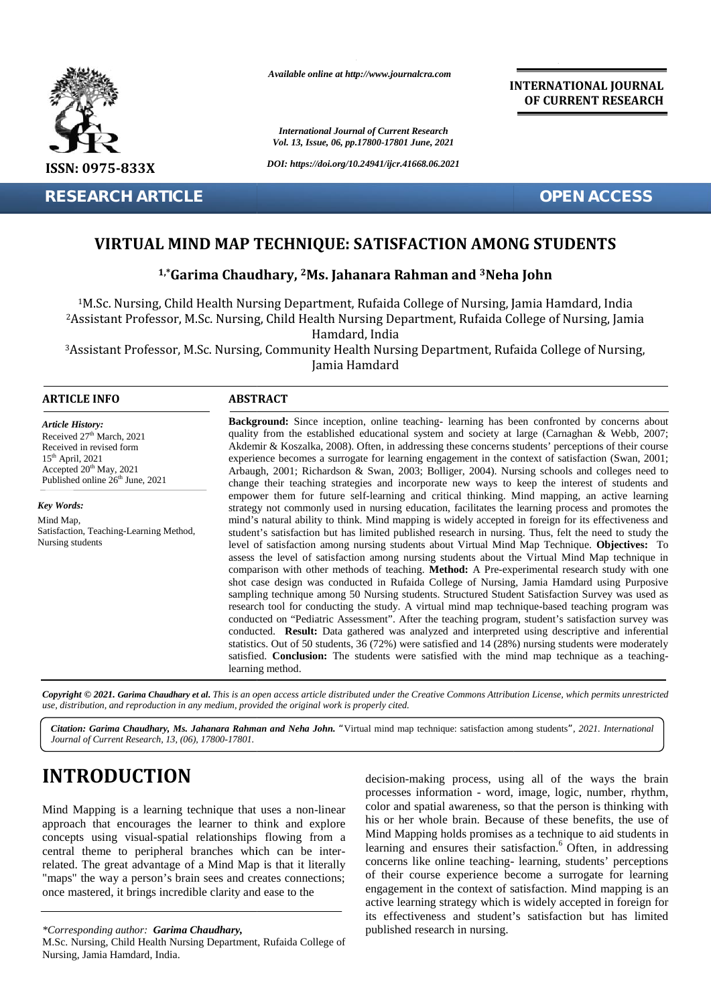

*Available online at http://www.journalcra.com*

*International Journal of Current Research Vol. 13, Issue, 06, pp.17800-17801 June, 2021*

#### **INTERNATIONAL JOURNAL OF CURRENT RESEARCH**

#### **VIRTUAL MIND MAP TECHNIQUE: SATISFACTION AMONG STUDENTS VIRTUAL MIND AMONG**

#### **1,\*Garima Chaudhary, <sup>2</sup>Ms. Jahanara Rahman and <sup>3</sup>Neha John 1,\*2Ms.**

| ¥                                                                                                                                                                                                                                                                                                                                                                                                                                                                            |                                                                                                                                                                                                                                                                                                                                                                                                                                                                                                                                                                                                                                                                                                                                                                                                                                                                                                                                                                                                                                                                                                                                                                                                                                                                                                                                                                                                                                                                                                                                                                                                                                                                                                                                                                                                                                                                                                                                                                                                                                                                                            | <b>International Journal of Current Research</b><br>Vol. 13, Issue, 06, pp.17800-17801 June, 2021                                                                                                                                                                                                                                                                                                                                                                                                                                                                                                                                                                                |
|------------------------------------------------------------------------------------------------------------------------------------------------------------------------------------------------------------------------------------------------------------------------------------------------------------------------------------------------------------------------------------------------------------------------------------------------------------------------------|--------------------------------------------------------------------------------------------------------------------------------------------------------------------------------------------------------------------------------------------------------------------------------------------------------------------------------------------------------------------------------------------------------------------------------------------------------------------------------------------------------------------------------------------------------------------------------------------------------------------------------------------------------------------------------------------------------------------------------------------------------------------------------------------------------------------------------------------------------------------------------------------------------------------------------------------------------------------------------------------------------------------------------------------------------------------------------------------------------------------------------------------------------------------------------------------------------------------------------------------------------------------------------------------------------------------------------------------------------------------------------------------------------------------------------------------------------------------------------------------------------------------------------------------------------------------------------------------------------------------------------------------------------------------------------------------------------------------------------------------------------------------------------------------------------------------------------------------------------------------------------------------------------------------------------------------------------------------------------------------------------------------------------------------------------------------------------------------|----------------------------------------------------------------------------------------------------------------------------------------------------------------------------------------------------------------------------------------------------------------------------------------------------------------------------------------------------------------------------------------------------------------------------------------------------------------------------------------------------------------------------------------------------------------------------------------------------------------------------------------------------------------------------------|
| ISSN: 0975-833X                                                                                                                                                                                                                                                                                                                                                                                                                                                              |                                                                                                                                                                                                                                                                                                                                                                                                                                                                                                                                                                                                                                                                                                                                                                                                                                                                                                                                                                                                                                                                                                                                                                                                                                                                                                                                                                                                                                                                                                                                                                                                                                                                                                                                                                                                                                                                                                                                                                                                                                                                                            | DOI: https://doi.org/10.24941/ijcr.41668.06.2021                                                                                                                                                                                                                                                                                                                                                                                                                                                                                                                                                                                                                                 |
| <b>RESEARCH ARTICLE</b>                                                                                                                                                                                                                                                                                                                                                                                                                                                      |                                                                                                                                                                                                                                                                                                                                                                                                                                                                                                                                                                                                                                                                                                                                                                                                                                                                                                                                                                                                                                                                                                                                                                                                                                                                                                                                                                                                                                                                                                                                                                                                                                                                                                                                                                                                                                                                                                                                                                                                                                                                                            | <b>OPEN ACCESS</b>                                                                                                                                                                                                                                                                                                                                                                                                                                                                                                                                                                                                                                                               |
|                                                                                                                                                                                                                                                                                                                                                                                                                                                                              |                                                                                                                                                                                                                                                                                                                                                                                                                                                                                                                                                                                                                                                                                                                                                                                                                                                                                                                                                                                                                                                                                                                                                                                                                                                                                                                                                                                                                                                                                                                                                                                                                                                                                                                                                                                                                                                                                                                                                                                                                                                                                            | VIRTUAL MIND MAP TECHNIQUE: SATISFACTION AMONG STUDENTS<br><sup>1,*</sup> Garima Chaudhary, <sup>2</sup> Ms. Jahanara Rahman and <sup>3</sup> Neha John                                                                                                                                                                                                                                                                                                                                                                                                                                                                                                                          |
|                                                                                                                                                                                                                                                                                                                                                                                                                                                                              | Hamdard, India<br>Jamia Hamdard                                                                                                                                                                                                                                                                                                                                                                                                                                                                                                                                                                                                                                                                                                                                                                                                                                                                                                                                                                                                                                                                                                                                                                                                                                                                                                                                                                                                                                                                                                                                                                                                                                                                                                                                                                                                                                                                                                                                                                                                                                                            | <sup>1</sup> M.Sc. Nursing, Child Health Nursing Department, Rufaida College of Nursing, Jamia Hamdard, India<br><sup>2</sup> Assistant Professor, M.Sc. Nursing, Child Health Nursing Department, Rufaida College of Nursing, Jamia<br><sup>3</sup> Assistant Professor, M.Sc. Nursing, Community Health Nursing Department, Rufaida College of Nursing,                                                                                                                                                                                                                                                                                                                        |
| <b>ARTICLE INFO</b>                                                                                                                                                                                                                                                                                                                                                                                                                                                          | <b>ABSTRACT</b>                                                                                                                                                                                                                                                                                                                                                                                                                                                                                                                                                                                                                                                                                                                                                                                                                                                                                                                                                                                                                                                                                                                                                                                                                                                                                                                                                                                                                                                                                                                                                                                                                                                                                                                                                                                                                                                                                                                                                                                                                                                                            |                                                                                                                                                                                                                                                                                                                                                                                                                                                                                                                                                                                                                                                                                  |
| <b>Article History:</b><br>Received 27 <sup>th</sup> March, 2021<br>Received in revised form<br>15 <sup>th</sup> April, 2021<br>Accepted 20 <sup>th</sup> May, 2021<br>Published online 26 <sup>th</sup> June, 2021<br><b>Key Words:</b><br>Mind Map,<br>Satisfaction, Teaching-Learning Method,<br>Nursing students                                                                                                                                                         | Background: Since inception, online teaching- learning has been confronted by concerns about<br>quality from the established educational system and society at large (Carnaghan & Webb, 2007;<br>Akdemir & Koszalka, 2008). Often, in addressing these concerns students' perceptions of their course<br>experience becomes a surrogate for learning engagement in the context of satisfaction (Swan, 2001;<br>Arbaugh, 2001; Richardson & Swan, 2003; Bolliger, 2004). Nursing schools and colleges need to<br>change their teaching strategies and incorporate new ways to keep the interest of students and<br>empower them for future self-learning and critical thinking. Mind mapping, an active learning<br>strategy not commonly used in nursing education, facilitates the learning process and promotes the<br>mind's natural ability to think. Mind mapping is widely accepted in foreign for its effectiveness and<br>student's satisfaction but has limited published research in nursing. Thus, felt the need to study the<br>level of satisfaction among nursing students about Virtual Mind Map Technique. Objectives: To<br>assess the level of satisfaction among nursing students about the Virtual Mind Map technique in<br>comparison with other methods of teaching. Method: A Pre-experimental research study with one<br>shot case design was conducted in Rufaida College of Nursing, Jamia Hamdard using Purposive<br>sampling technique among 50 Nursing students. Structured Student Satisfaction Survey was used as<br>research tool for conducting the study. A virtual mind map technique-based teaching program was<br>conducted on "Pediatric Assessment". After the teaching program, student's satisfaction survey was<br>conducted. Result: Data gathered was analyzed and interpreted using descriptive and inferential<br>statistics. Out of 50 students, 36 (72%) were satisfied and 14 (28%) nursing students were moderately<br>satisfied. Conclusion: The students were satisfied with the mind map technique as a teaching-<br>learning method. |                                                                                                                                                                                                                                                                                                                                                                                                                                                                                                                                                                                                                                                                                  |
| use, distribution, and reproduction in any medium, provided the original work is properly cited.                                                                                                                                                                                                                                                                                                                                                                             |                                                                                                                                                                                                                                                                                                                                                                                                                                                                                                                                                                                                                                                                                                                                                                                                                                                                                                                                                                                                                                                                                                                                                                                                                                                                                                                                                                                                                                                                                                                                                                                                                                                                                                                                                                                                                                                                                                                                                                                                                                                                                            | Copyright © 2021. Garima Chaudhary et al. This is an open access article distributed under the Creative Commons Attribution License, which permits unrestricted                                                                                                                                                                                                                                                                                                                                                                                                                                                                                                                  |
| Journal of Current Research, 13, (06), 17800-17801.                                                                                                                                                                                                                                                                                                                                                                                                                          |                                                                                                                                                                                                                                                                                                                                                                                                                                                                                                                                                                                                                                                                                                                                                                                                                                                                                                                                                                                                                                                                                                                                                                                                                                                                                                                                                                                                                                                                                                                                                                                                                                                                                                                                                                                                                                                                                                                                                                                                                                                                                            | Citation: Garima Chaudhary, Ms. Jahanara Rahman and Neha John. "Virtual mind map technique: satisfaction among students", 2021. International                                                                                                                                                                                                                                                                                                                                                                                                                                                                                                                                    |
| <b>INTRODUCTION</b><br>Mind Mapping is a learning technique that uses a non-linear<br>approach that encourages the learner to think and explore<br>concepts using visual-spatial relationships flowing from a<br>central theme to peripheral branches which can be inter-<br>related. The great advantage of a Mind Map is that it literally<br>"maps" the way a person's brain sees and creates connections;<br>once mastered, it brings incredible clarity and ease to the |                                                                                                                                                                                                                                                                                                                                                                                                                                                                                                                                                                                                                                                                                                                                                                                                                                                                                                                                                                                                                                                                                                                                                                                                                                                                                                                                                                                                                                                                                                                                                                                                                                                                                                                                                                                                                                                                                                                                                                                                                                                                                            | decision-making process, using all of the ways the brain<br>processes information - word, image, logic, number, rhythm,<br>color and spatial awareness, so that the person is thinking with<br>his or her whole brain. Because of these benefits, the use of<br>Mind Mapping holds promises as a technique to aid students in<br>learning and ensures their satisfaction. <sup>6</sup> Often, in addressing<br>concerns like online teaching- learning, students' perceptions<br>of their course experience become a surrogate for learning<br>engagement in the context of satisfaction. Mind mapping is an<br>active learning strategy which is widely accepted in foreign for |
| *Corresponding author: Garima Chaudhary,                                                                                                                                                                                                                                                                                                                                                                                                                                     |                                                                                                                                                                                                                                                                                                                                                                                                                                                                                                                                                                                                                                                                                                                                                                                                                                                                                                                                                                                                                                                                                                                                                                                                                                                                                                                                                                                                                                                                                                                                                                                                                                                                                                                                                                                                                                                                                                                                                                                                                                                                                            | its effectiveness and student's satisfaction but has limited<br>published research in nursing.                                                                                                                                                                                                                                                                                                                                                                                                                                                                                                                                                                                   |

# **INTRODUCTION INTRODUCTION**

M.Sc. Nursing, Child Health Nursing Department, Rufaida College of<br>Nursing, Jamia Hamdard, India. Nursing, Jamia Hamdard, India.